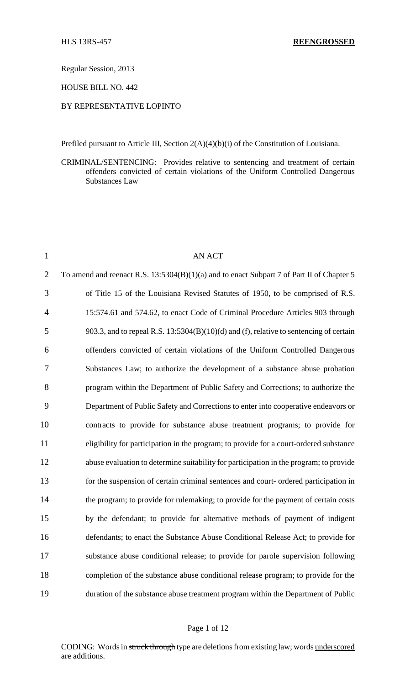Regular Session, 2013

HOUSE BILL NO. 442

### BY REPRESENTATIVE LOPINTO

Prefiled pursuant to Article III, Section 2(A)(4)(b)(i) of the Constitution of Louisiana.

CRIMINAL/SENTENCING: Provides relative to sentencing and treatment of certain offenders convicted of certain violations of the Uniform Controlled Dangerous Substances Law

| $\mathbf{1}$   | <b>AN ACT</b>                                                                             |
|----------------|-------------------------------------------------------------------------------------------|
| $\overline{2}$ | To amend and reenact R.S. 13:5304(B)(1)(a) and to enact Subpart 7 of Part II of Chapter 5 |
| 3              | of Title 15 of the Louisiana Revised Statutes of 1950, to be comprised of R.S.            |
| $\overline{4}$ | 15:574.61 and 574.62, to enact Code of Criminal Procedure Articles 903 through            |
| 5              | 903.3, and to repeal R.S. 13:5304(B)(10)(d) and (f), relative to sentencing of certain    |
| 6              | offenders convicted of certain violations of the Uniform Controlled Dangerous             |
| 7              | Substances Law; to authorize the development of a substance abuse probation               |
| 8              | program within the Department of Public Safety and Corrections; to authorize the          |
| 9              | Department of Public Safety and Corrections to enter into cooperative endeavors or        |
| 10             | contracts to provide for substance abuse treatment programs; to provide for               |
| 11             | eligibility for participation in the program; to provide for a court-ordered substance    |
| 12             | abuse evaluation to determine suitability for participation in the program; to provide    |
| 13             | for the suspension of certain criminal sentences and court- ordered participation in      |
| 14             | the program; to provide for rulemaking; to provide for the payment of certain costs       |
| 15             | by the defendant; to provide for alternative methods of payment of indigent               |
| 16             | defendants; to enact the Substance Abuse Conditional Release Act; to provide for          |
| 17             | substance abuse conditional release; to provide for parole supervision following          |
| 18             | completion of the substance abuse conditional release program; to provide for the         |
| 19             | duration of the substance abuse treatment program within the Department of Public         |

#### Page 1 of 12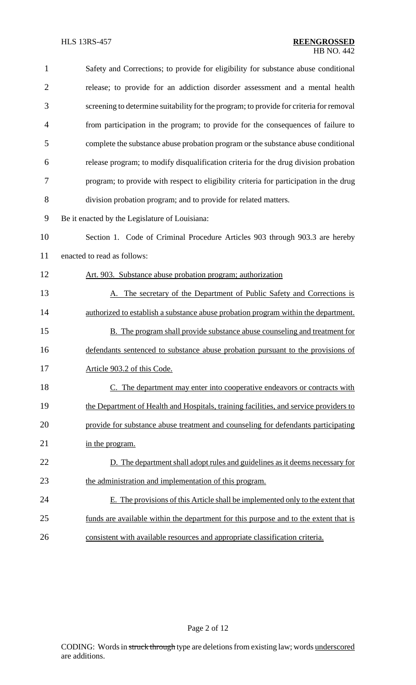| $\mathbf{1}$   | Safety and Corrections; to provide for eligibility for substance abuse conditional      |
|----------------|-----------------------------------------------------------------------------------------|
| $\overline{2}$ | release; to provide for an addiction disorder assessment and a mental health            |
| 3              | screening to determine suitability for the program; to provide for criteria for removal |
| $\overline{4}$ | from participation in the program; to provide for the consequences of failure to        |
| 5              | complete the substance abuse probation program or the substance abuse conditional       |
| 6              | release program; to modify disqualification criteria for the drug division probation    |
| $\tau$         | program; to provide with respect to eligibility criteria for participation in the drug  |
| 8              | division probation program; and to provide for related matters.                         |
| 9              | Be it enacted by the Legislature of Louisiana:                                          |
| 10             | Section 1. Code of Criminal Procedure Articles 903 through 903.3 are hereby             |
| 11             | enacted to read as follows:                                                             |
| 12             | Art. 903. Substance abuse probation program; authorization                              |
| 13             | A. The secretary of the Department of Public Safety and Corrections is                  |
| 14             | authorized to establish a substance abuse probation program within the department.      |
| 15             | B. The program shall provide substance abuse counseling and treatment for               |
| 16             | defendants sentenced to substance abuse probation pursuant to the provisions of         |
| 17             | Article 903.2 of this Code.                                                             |
| 18             | C. The department may enter into cooperative endeavors or contracts with                |
| 19             | the Department of Health and Hospitals, training facilities, and service providers to   |
| 20             | provide for substance abuse treatment and counseling for defendants participating       |
| 21             | in the program.                                                                         |
| 22             | D. The department shall adopt rules and guidelines as it deems necessary for            |
| 23             | the administration and implementation of this program.                                  |
| 24             | E. The provisions of this Article shall be implemented only to the extent that          |
| 25             | funds are available within the department for this purpose and to the extent that is    |
| 26             | consistent with available resources and appropriate classification criteria.            |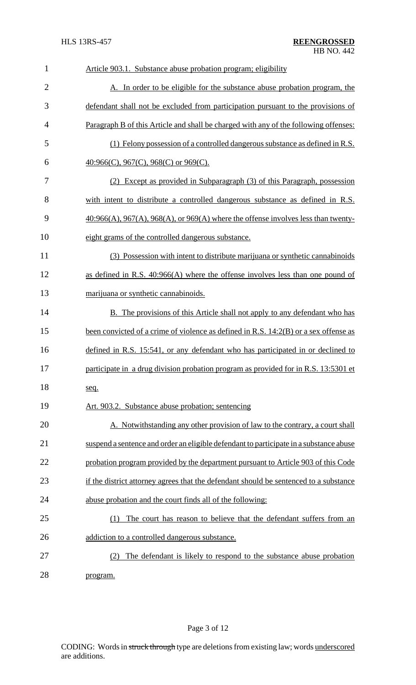| $\mathbf{1}$   | Article 903.1. Substance abuse probation program; eligibility                          |
|----------------|----------------------------------------------------------------------------------------|
| $\overline{2}$ | A. In order to be eligible for the substance abuse probation program, the              |
| 3              | defendant shall not be excluded from participation pursuant to the provisions of       |
| 4              | Paragraph B of this Article and shall be charged with any of the following offenses:   |
| 5              | (1) Felony possession of a controlled dangerous substance as defined in R.S.           |
| 6              | $\underline{40:966(C)}$ , $967(C)$ , $968(C)$ or $969(C)$ .                            |
| 7              | (2) Except as provided in Subparagraph (3) of this Paragraph, possession               |
| 8              | with intent to distribute a controlled dangerous substance as defined in R.S.          |
| 9              | $40:966(A), 967(A), 968(A),$ or $969(A)$ where the offense involves less than twenty-  |
| 10             | eight grams of the controlled dangerous substance.                                     |
| 11             | (3) Possession with intent to distribute marijuana or synthetic cannabinoids           |
| 12             | as defined in R.S. 40:966(A) where the offense involves less than one pound of         |
| 13             | marijuana or synthetic cannabinoids.                                                   |
| 14             | B. The provisions of this Article shall not apply to any defendant who has             |
| 15             | been convicted of a crime of violence as defined in R.S. 14:2(B) or a sex offense as   |
| 16             | defined in R.S. 15:541, or any defendant who has participated in or declined to        |
| 17             | participate in a drug division probation program as provided for in R.S. 13:5301 et    |
| 18             | seq.                                                                                   |
| 19             | Art. 903.2. Substance abuse probation; sentencing                                      |
| 20             | A. Notwithstanding any other provision of law to the contrary, a court shall           |
| 21             | suspend a sentence and order an eligible defendant to participate in a substance abuse |
| 22             | probation program provided by the department pursuant to Article 903 of this Code      |
| 23             | if the district attorney agrees that the defendant should be sentenced to a substance  |
| 24             | abuse probation and the court finds all of the following:                              |
| 25             | The court has reason to believe that the defendant suffers from an<br>(1)              |
| 26             | addiction to a controlled dangerous substance.                                         |
| 27             | The defendant is likely to respond to the substance abuse probation<br>(2)             |
| 28             | program.                                                                               |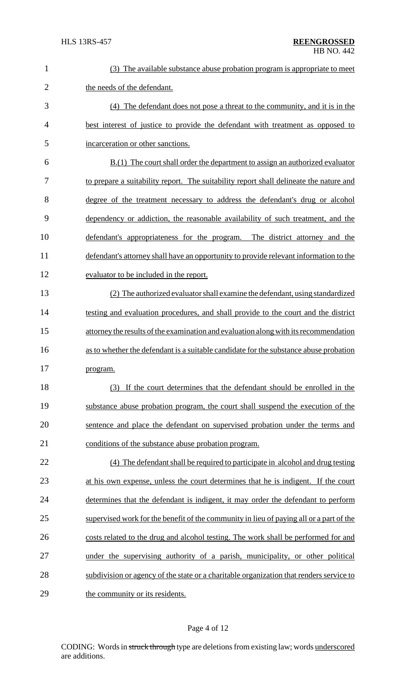| $\mathbf{1}$   | (3) The available substance abuse probation program is appropriate to meet              |
|----------------|-----------------------------------------------------------------------------------------|
| $\overline{2}$ | the needs of the defendant.                                                             |
| 3              | (4) The defendant does not pose a threat to the community, and it is in the             |
| 4              | best interest of justice to provide the defendant with treatment as opposed to          |
| 5              | incarceration or other sanctions.                                                       |
| 6              | $B(1)$ The court shall order the department to assign an authorized evaluator           |
| 7              | to prepare a suitability report. The suitability report shall delineate the nature and  |
| 8              | degree of the treatment necessary to address the defendant's drug or alcohol            |
| 9              | dependency or addiction, the reasonable availability of such treatment, and the         |
| 10             | defendant's appropriateness for the program. The district attorney and the              |
| 11             | defendant's attorney shall have an opportunity to provide relevant information to the   |
| 12             | evaluator to be included in the report.                                                 |
| 13             | (2) The authorized evaluator shall examine the defendant, using standardized            |
| 14             | testing and evaluation procedures, and shall provide to the court and the district      |
| 15             | attorney the results of the examination and evaluation along with its recommendation    |
| 16             | as to whether the defendant is a suitable candidate for the substance abuse probation   |
| 17             | program.                                                                                |
| 18             | (3) If the court determines that the defendant should be enrolled in the                |
| 19             | substance abuse probation program, the court shall suspend the execution of the         |
| 20             | sentence and place the defendant on supervised probation under the terms and            |
| 21             | conditions of the substance abuse probation program.                                    |
| 22             | (4) The defendant shall be required to participate in alcohol and drug testing          |
| 23             | at his own expense, unless the court determines that he is indigent. If the court       |
| 24             | determines that the defendant is indigent, it may order the defendant to perform        |
| 25             | supervised work for the benefit of the community in lieu of paying all or a part of the |
| 26             | costs related to the drug and alcohol testing. The work shall be performed for and      |
| 27             | under the supervising authority of a parish, municipality, or other political           |
| 28             | subdivision or agency of the state or a charitable organization that renders service to |
| 29             | the community or its residents.                                                         |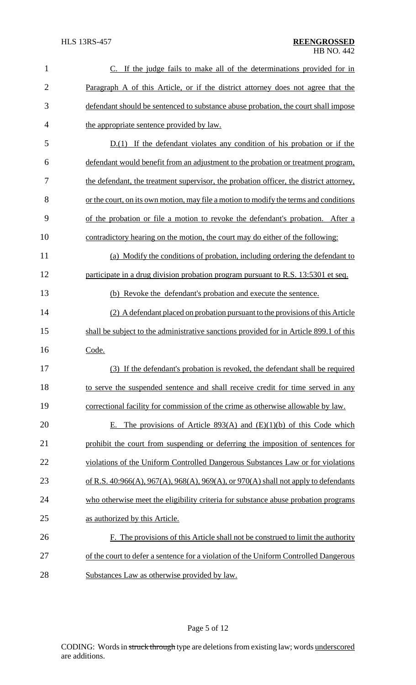| 1              | C. If the judge fails to make all of the determinations provided for in                |
|----------------|----------------------------------------------------------------------------------------|
| $\overline{2}$ | Paragraph A of this Article, or if the district attorney does not agree that the       |
| 3              | defendant should be sentenced to substance abuse probation, the court shall impose     |
| $\overline{4}$ | the appropriate sentence provided by law.                                              |
| 5              | $D(1)$ If the defendant violates any condition of his probation or if the              |
| 6              | defendant would benefit from an adjustment to the probation or treatment program,      |
| 7              | the defendant, the treatment supervisor, the probation officer, the district attorney, |
| 8              | or the court, on its own motion, may file a motion to modify the terms and conditions  |
| 9              | of the probation or file a motion to revoke the defendant's probation. After a         |
| 10             | contradictory hearing on the motion, the court may do either of the following:         |
| 11             | (a) Modify the conditions of probation, including ordering the defendant to            |
| 12             | participate in a drug division probation program pursuant to R.S. 13:5301 et seq.      |
| 13             | (b) Revoke the defendant's probation and execute the sentence.                         |
| 14             | (2) A defendant placed on probation pursuant to the provisions of this Article         |
| 15             | shall be subject to the administrative sanctions provided for in Article 899.1 of this |
| 16             | Code.                                                                                  |
| 17             | (3) If the defendant's probation is revoked, the defendant shall be required           |
| 18             | to serve the suspended sentence and shall receive credit for time served in any        |
| 19             | correctional facility for commission of the crime as otherwise allowable by law.       |
| 20             | The provisions of Article 893(A) and $(E)(1)(b)$ of this Code which<br>Е.              |
| 21             | prohibit the court from suspending or deferring the imposition of sentences for        |
| 22             | violations of the Uniform Controlled Dangerous Substances Law or for violations        |
| 23             | of R.S. 40:966(A), 967(A), 968(A), 969(A), or 970(A) shall not apply to defendants     |
| 24             | who otherwise meet the eligibility criteria for substance abuse probation programs     |
| 25             | as authorized by this Article.                                                         |
| 26             | F. The provisions of this Article shall not be construed to limit the authority        |
| 27             | of the court to defer a sentence for a violation of the Uniform Controlled Dangerous   |
| 28             | Substances Law as otherwise provided by law.                                           |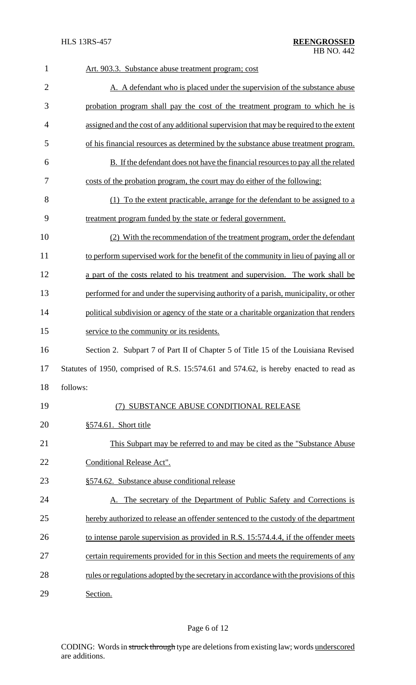| $\mathbf{1}$   | Art. 903.3. Substance abuse treatment program; cost                                     |
|----------------|-----------------------------------------------------------------------------------------|
| $\overline{2}$ | A. A defendant who is placed under the supervision of the substance abuse               |
| 3              | probation program shall pay the cost of the treatment program to which he is            |
| $\overline{4}$ | assigned and the cost of any additional supervision that may be required to the extent  |
| 5              | of his financial resources as determined by the substance abuse treatment program.      |
| 6              | B. If the defendant does not have the financial resources to pay all the related        |
| 7              | costs of the probation program, the court may do either of the following:               |
| 8              | (1) To the extent practicable, arrange for the defendant to be assigned to a            |
| 9              | treatment program funded by the state or federal government.                            |
| 10             | (2) With the recommendation of the treatment program, order the defendant               |
| 11             | to perform supervised work for the benefit of the community in lieu of paying all or    |
| 12             | a part of the costs related to his treatment and supervision. The work shall be         |
| 13             | performed for and under the supervising authority of a parish, municipality, or other   |
| 14             | political subdivision or agency of the state or a charitable organization that renders  |
| 15             | service to the community or its residents.                                              |
| 16             | Section 2. Subpart 7 of Part II of Chapter 5 of Title 15 of the Louisiana Revised       |
| 17             | Statutes of 1950, comprised of R.S. 15:574.61 and 574.62, is hereby enacted to read as  |
| 18             | follows:                                                                                |
| 19             | (7) SUBSTANCE ABUSE CONDITIONAL RELEASE                                                 |
| 20             | $§574.61$ . Short title                                                                 |
| 21             | This Subpart may be referred to and may be cited as the "Substance Abuse"               |
| 22             | Conditional Release Act".                                                               |
| 23             | §574.62. Substance abuse conditional release                                            |
| 24             | A. The secretary of the Department of Public Safety and Corrections is                  |
| 25             | hereby authorized to release an offender sentenced to the custody of the department     |
| 26             | to intense parole supervision as provided in R.S. 15:574.4.4, if the offender meets     |
| 27             | certain requirements provided for in this Section and meets the requirements of any     |
| 28             | rules or regulations adopted by the secretary in accordance with the provisions of this |
| 29             | Section.                                                                                |

# Page 6 of 12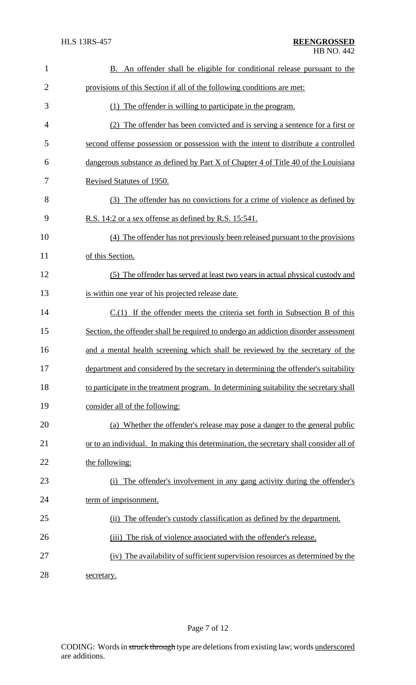| 1              | B. An offender shall be eligible for conditional release pursuant to the                |
|----------------|-----------------------------------------------------------------------------------------|
| $\overline{2}$ | provisions of this Section if all of the following conditions are met:                  |
| 3              | (1) The offender is willing to participate in the program.                              |
| 4              | (2) The offender has been convicted and is serving a sentence for a first or            |
| 5              | second offense possession or possession with the intent to distribute a controlled      |
| 6              | dangerous substance as defined by Part X of Chapter 4 of Title 40 of the Louisiana      |
| 7              | Revised Statutes of 1950.                                                               |
| 8              | (3) The offender has no convictions for a crime of violence as defined by               |
| 9              | R.S. 14:2 or a sex offense as defined by R.S. 15:541.                                   |
| 10             | (4) The offender has not previously been released pursuant to the provisions            |
| 11             | of this Section.                                                                        |
| 12             | (5) The offender has served at least two years in actual physical custody and           |
| 13             | is within one year of his projected release date.                                       |
| 14             | $C(1)$ If the offender meets the criteria set forth in Subsection B of this             |
| 15             | Section, the offender shall be required to undergo an addiction disorder assessment     |
| 16             | and a mental health screening which shall be reviewed by the secretary of the           |
| 17             | department and considered by the secretary in determining the offender's suitability    |
| 18             | to participate in the treatment program. In determining suitability the secretary shall |
| 19             | consider all of the following:                                                          |
| 20             | (a) Whether the offender's release may pose a danger to the general public              |
| 21             | or to an individual. In making this determination, the secretary shall consider all of  |
| 22             | the following:                                                                          |
| 23             | The offender's involvement in any gang activity during the offender's<br>(i)            |
| 24             | term of imprisonment.                                                                   |
| 25             | The offender's custody classification as defined by the department.<br>(ii)             |
| 26             | The risk of violence associated with the offender's release.<br>(iii)                   |
| 27             | (iv) The availability of sufficient supervision resources as determined by the          |
| 28             | secretary.                                                                              |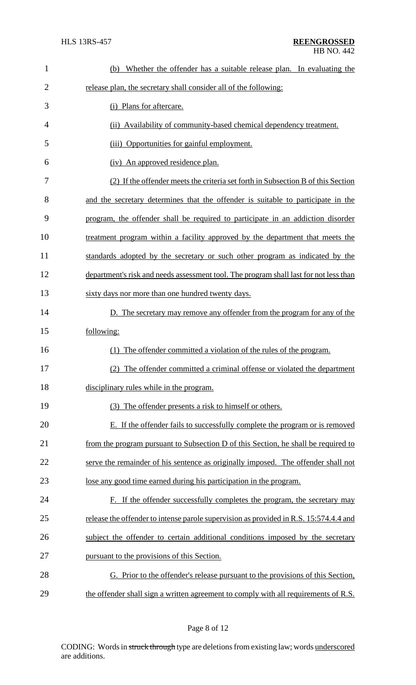| $\mathbf{1}$   | Whether the offender has a suitable release plan. In evaluating the<br>(b)            |
|----------------|---------------------------------------------------------------------------------------|
| $\overline{2}$ | release plan, the secretary shall consider all of the following:                      |
| 3              | (i) Plans for aftercare.                                                              |
| 4              | (ii) Availability of community-based chemical dependency treatment.                   |
| 5              | (iii) Opportunities for gainful employment.                                           |
| 6              | (iv) An approved residence plan.                                                      |
| 7              | (2) If the offender meets the criteria set forth in Subsection B of this Section      |
| 8              | and the secretary determines that the offender is suitable to participate in the      |
| 9              | program, the offender shall be required to participate in an addiction disorder       |
| 10             | treatment program within a facility approved by the department that meets the         |
| 11             | standards adopted by the secretary or such other program as indicated by the          |
| 12             | department's risk and needs assessment tool. The program shall last for not less than |
| 13             | sixty days nor more than one hundred twenty days.                                     |
| 14             | D. The secretary may remove any offender from the program for any of the              |
| 15             | following:                                                                            |
| 16             | The offender committed a violation of the rules of the program.<br>(1)                |
| 17             | (2) The offender committed a criminal offense or violated the department              |
| 18             | disciplinary rules while in the program.                                              |
| 19             | (3) The offender presents a risk to himself or others.                                |
| 20             | E. If the offender fails to successfully complete the program or is removed           |
| 21             | from the program pursuant to Subsection D of this Section, he shall be required to    |
| 22             | serve the remainder of his sentence as originally imposed. The offender shall not     |
| 23             | lose any good time earned during his participation in the program.                    |
| 24             | F. If the offender successfully completes the program, the secretary may              |
| 25             | release the offender to intense parole supervision as provided in R.S. 15:574.4.4 and |
| 26             | subject the offender to certain additional conditions imposed by the secretary        |
| 27             | pursuant to the provisions of this Section.                                           |
| 28             | G. Prior to the offender's release pursuant to the provisions of this Section,        |
| 29             | the offender shall sign a written agreement to comply with all requirements of R.S.   |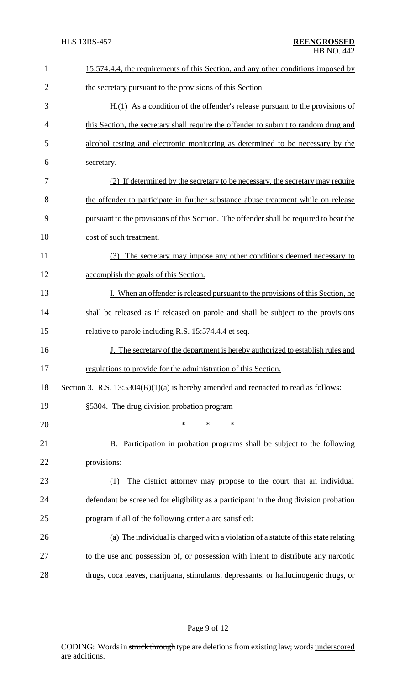| $\mathbf{1}$   | 15:574.4.4, the requirements of this Section, and any other conditions imposed by      |
|----------------|----------------------------------------------------------------------------------------|
| $\overline{2}$ | the secretary pursuant to the provisions of this Section.                              |
| 3              | $H(1)$ As a condition of the offender's release pursuant to the provisions of          |
| $\overline{4}$ | this Section, the secretary shall require the offender to submit to random drug and    |
| 5              | alcohol testing and electronic monitoring as determined to be necessary by the         |
| 6              | secretary.                                                                             |
| 7              | (2) If determined by the secretary to be necessary, the secretary may require          |
| 8              | the offender to participate in further substance abuse treatment while on release      |
| 9              | pursuant to the provisions of this Section. The offender shall be required to bear the |
| 10             | cost of such treatment.                                                                |
| 11             | (3) The secretary may impose any other conditions deemed necessary to                  |
| 12             | accomplish the goals of this Section.                                                  |
| 13             | I. When an offender is released pursuant to the provisions of this Section, he         |
| 14             | shall be released as if released on parole and shall be subject to the provisions      |
| 15             | relative to parole including R.S. 15:574.4.4 et seq.                                   |
| 16             | J. The secretary of the department is hereby authorized to establish rules and         |
| 17             | regulations to provide for the administration of this Section.                         |
| 18             | Section 3. R.S. $13:5304(B)(1)(a)$ is hereby amended and reenacted to read as follows: |
| 19             | §5304. The drug division probation program                                             |
| 20             | $\ast$<br>$*$<br>$\ast$                                                                |
| 21             | B. Participation in probation programs shall be subject to the following               |
| 22             | provisions:                                                                            |
| 23             | The district attorney may propose to the court that an individual<br>(1)               |
| 24             | defendant be screened for eligibility as a participant in the drug division probation  |
| 25             | program if all of the following criteria are satisfied:                                |
| 26             | (a) The individual is charged with a violation of a statute of this state relating     |
| 27             | to the use and possession of, or possession with intent to distribute any narcotic     |
| 28             | drugs, coca leaves, marijuana, stimulants, depressants, or hallucinogenic drugs, or    |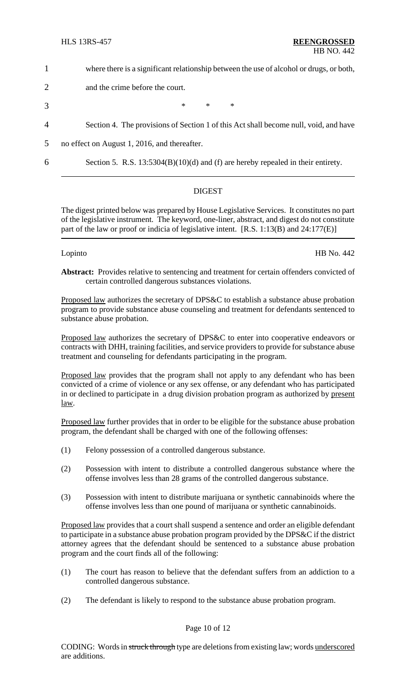- 1 where there is a significant relationship between the use of alcohol or drugs, or both,
- 2 and the crime before the court.
- 3  $*$  \* \* \*
- 4 Section 4. The provisions of Section 1 of this Act shall become null, void, and have
- 5 no effect on August 1, 2016, and thereafter.
- 

6 Section 5. R.S. 13:5304(B)(10)(d) and (f) are hereby repealed in their entirety.

## DIGEST

The digest printed below was prepared by House Legislative Services. It constitutes no part of the legislative instrument. The keyword, one-liner, abstract, and digest do not constitute part of the law or proof or indicia of legislative intent. [R.S. 1:13(B) and 24:177(E)]

Lopinto HB No. 442

**Abstract:** Provides relative to sentencing and treatment for certain offenders convicted of certain controlled dangerous substances violations.

Proposed law authorizes the secretary of DPS&C to establish a substance abuse probation program to provide substance abuse counseling and treatment for defendants sentenced to substance abuse probation.

Proposed law authorizes the secretary of DPS&C to enter into cooperative endeavors or contracts with DHH, training facilities, and service providers to provide for substance abuse treatment and counseling for defendants participating in the program.

Proposed law provides that the program shall not apply to any defendant who has been convicted of a crime of violence or any sex offense, or any defendant who has participated in or declined to participate in a drug division probation program as authorized by present law.

Proposed law further provides that in order to be eligible for the substance abuse probation program, the defendant shall be charged with one of the following offenses:

- (1) Felony possession of a controlled dangerous substance.
- (2) Possession with intent to distribute a controlled dangerous substance where the offense involves less than 28 grams of the controlled dangerous substance.
- (3) Possession with intent to distribute marijuana or synthetic cannabinoids where the offense involves less than one pound of marijuana or synthetic cannabinoids.

Proposed law provides that a court shall suspend a sentence and order an eligible defendant to participate in a substance abuse probation program provided by the DPS&C if the district attorney agrees that the defendant should be sentenced to a substance abuse probation program and the court finds all of the following:

- (1) The court has reason to believe that the defendant suffers from an addiction to a controlled dangerous substance.
- (2) The defendant is likely to respond to the substance abuse probation program.

# Page 10 of 12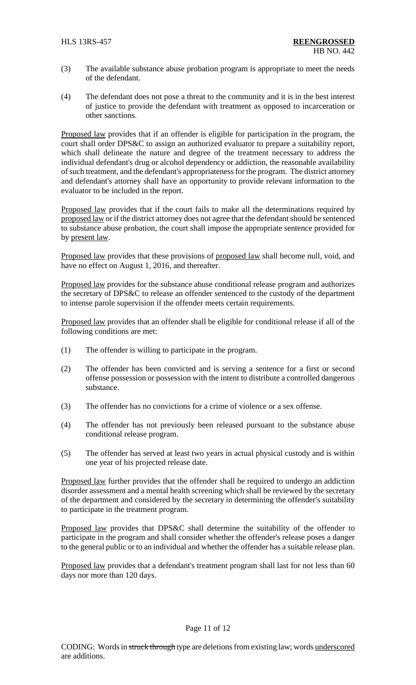- (3) The available substance abuse probation program is appropriate to meet the needs of the defendant.
- (4) The defendant does not pose a threat to the community and it is in the best interest of justice to provide the defendant with treatment as opposed to incarceration or other sanctions.

Proposed law provides that if an offender is eligible for participation in the program, the court shall order DPS&C to assign an authorized evaluator to prepare a suitability report, which shall delineate the nature and degree of the treatment necessary to address the individual defendant's drug or alcohol dependency or addiction, the reasonable availability of such treatment, and the defendant's appropriateness for the program. The district attorney and defendant's attorney shall have an opportunity to provide relevant information to the evaluator to be included in the report.

Proposed law provides that if the court fails to make all the determinations required by proposed law or if the district attorney does not agree that the defendant should be sentenced to substance abuse probation, the court shall impose the appropriate sentence provided for by present law.

Proposed law provides that these provisions of proposed law shall become null, void, and have no effect on August 1, 2016, and thereafter.

Proposed law provides for the substance abuse conditional release program and authorizes the secretary of DPS&C to release an offender sentenced to the custody of the department to intense parole supervision if the offender meets certain requirements.

Proposed law provides that an offender shall be eligible for conditional release if all of the following conditions are met:

- (1) The offender is willing to participate in the program.
- (2) The offender has been convicted and is serving a sentence for a first or second offense possession or possession with the intent to distribute a controlled dangerous substance.
- (3) The offender has no convictions for a crime of violence or a sex offense.
- (4) The offender has not previously been released pursuant to the substance abuse conditional release program.
- (5) The offender has served at least two years in actual physical custody and is within one year of his projected release date.

Proposed law further provides that the offender shall be required to undergo an addiction disorder assessment and a mental health screening which shall be reviewed by the secretary of the department and considered by the secretary in determining the offender's suitability to participate in the treatment program.

Proposed law provides that DPS&C shall determine the suitability of the offender to participate in the program and shall consider whether the offender's release poses a danger to the general public or to an individual and whether the offender has a suitable release plan.

Proposed law provides that a defendant's treatment program shall last for not less than 60 days nor more than 120 days.